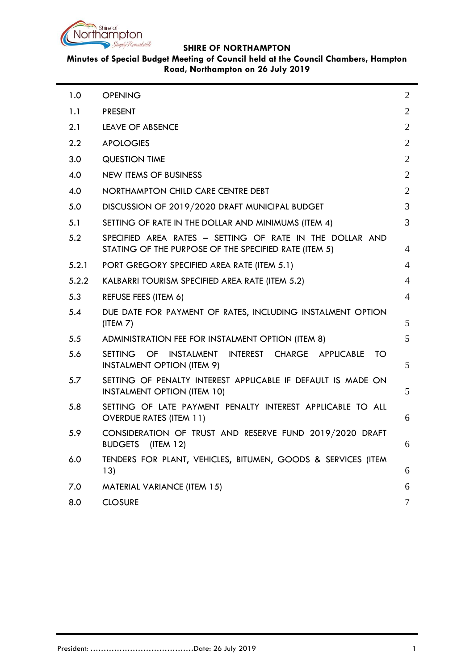

# **Minutes of Special Budget Meeting of Council held at the Council Chambers, Hampton Road, Northampton on 26 July 2019**

| 1.0   | <b>OPENING</b>                                                                                                    | 2              |
|-------|-------------------------------------------------------------------------------------------------------------------|----------------|
| 1.1   | <b>PRESENT</b>                                                                                                    | 2              |
| 2.1   | <b>LEAVE OF ABSENCE</b>                                                                                           | 2              |
| 2.2   | <b>APOLOGIES</b>                                                                                                  | 2              |
| 3.0   | <b>QUESTION TIME</b>                                                                                              | $\overline{2}$ |
| 4.0   | <b>NEW ITEMS OF BUSINESS</b>                                                                                      | $\overline{2}$ |
| 4.0   | NORTHAMPTON CHILD CARE CENTRE DEBT                                                                                | 2              |
| 5.0   | DISCUSSION OF 2019/2020 DRAFT MUNICIPAL BUDGET                                                                    | 3              |
| 5.1   | SETTING OF RATE IN THE DOLLAR AND MINIMUMS (ITEM 4)                                                               | 3              |
| 5.2   | SPECIFIED AREA RATES - SETTING OF RATE IN THE DOLLAR AND<br>STATING OF THE PURPOSE OF THE SPECIFIED RATE (ITEM 5) | $\overline{4}$ |
| 5.2.1 | PORT GREGORY SPECIFIED AREA RATE (ITEM 5.1)                                                                       | $\overline{4}$ |
| 5.2.2 | KALBARRI TOURISM SPECIFIED AREA RATE (ITEM 5.2)                                                                   | $\overline{4}$ |
| 5.3   | REFUSE FEES (ITEM 6)                                                                                              | $\overline{4}$ |
| 5.4   | DUE DATE FOR PAYMENT OF RATES, INCLUDING INSTALMENT OPTION<br>(ITERM 7)                                           | 5              |
| 5.5   | ADMINISTRATION FEE FOR INSTALMENT OPTION (ITEM 8)                                                                 | 5              |
| 5.6   | <b>SETTING</b><br><b>OF</b><br>INSTALMENT INTEREST CHARGE APPLICABLE<br>TO.<br><b>INSTALMENT OPTION (ITEM 9)</b>  | 5              |
| 5.7   | SETTING OF PENALTY INTEREST APPLICABLE IF DEFAULT IS MADE ON<br><b>INSTALMENT OPTION (ITEM 10)</b>                | 5              |
| 5.8   | SETTING OF LATE PAYMENT PENALTY INTEREST APPLICABLE TO ALL<br><b>OVERDUE RATES (ITEM 11)</b>                      | 6              |
| 5.9   | CONSIDERATION OF TRUST AND RESERVE FUND 2019/2020 DRAFT<br>BUDGETS (ITEM 12)                                      | 6              |
| 6.0   | TENDERS FOR PLANT, VEHICLES, BITUMEN, GOODS & SERVICES (ITEM<br>13)                                               | 6              |
| 7.0   | <b>MATERIAL VARIANCE (ITEM 15)</b>                                                                                | 6              |
| 8.0   | <b>CLOSURE</b>                                                                                                    | $\tau$         |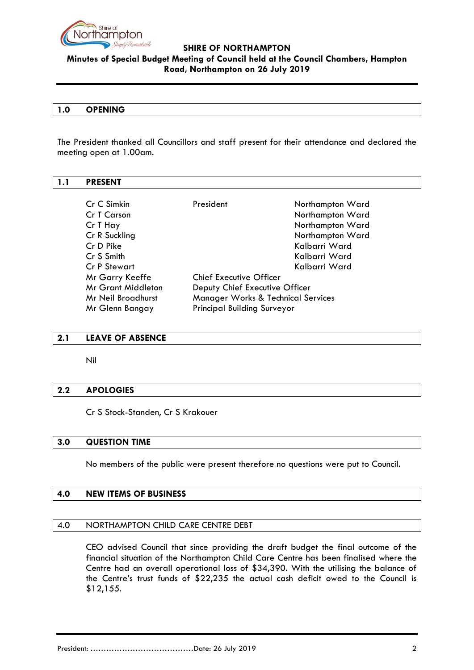

# **Minutes of Special Budget Meeting of Council held at the Council Chambers, Hampton Road, Northampton on 26 July 2019**

#### <span id="page-1-0"></span>**1.0 OPENING**

The President thanked all Councillors and staff present for their attendance and declared the meeting open at 1.00am.

<span id="page-1-1"></span>

| 1.1 | <b>PRESENT</b> |           |                  |  |  |
|-----|----------------|-----------|------------------|--|--|
|     | Cr C Simkin    | President | Northampton Ward |  |  |

| <b>Cr C Simkin</b>        | <b>President</b>                              | <b>Northampton</b> vvara |  |
|---------------------------|-----------------------------------------------|--------------------------|--|
| Cr T Carson               |                                               | Northampton Ward         |  |
| Cr T Hay                  |                                               | Northampton Ward         |  |
| Cr R Suckling             |                                               | Northampton Ward         |  |
| Cr D Pike                 |                                               | Kalbarri Ward            |  |
| Cr S Smith                |                                               | Kalbarri Ward            |  |
| <b>Cr P Stewart</b>       |                                               | Kalbarri Ward            |  |
| Mr Garry Keeffe           | <b>Chief Executive Officer</b>                |                          |  |
| <b>Mr Grant Middleton</b> | Deputy Chief Executive Officer                |                          |  |
| Mr Neil Broadhurst        | <b>Manager Works &amp; Technical Services</b> |                          |  |
| Mr Glenn Bangay           | <b>Principal Building Surveyor</b>            |                          |  |
|                           |                                               |                          |  |

### <span id="page-1-2"></span>**2.1 LEAVE OF ABSENCE**

Nil

### <span id="page-1-3"></span>**2.2 APOLOGIES**

Cr S Stock-Standen, Cr S Krakouer

#### <span id="page-1-4"></span>**3.0 QUESTION TIME**

No members of the public were present therefore no questions were put to Council.

### <span id="page-1-5"></span>**4.0 NEW ITEMS OF BUSINESS**

### <span id="page-1-6"></span>4.0 NORTHAMPTON CHILD CARE CENTRE DEBT

CEO advised Council that since providing the draft budget the final outcome of the financial situation of the Northampton Child Care Centre has been finalised where the Centre had an overall operational loss of \$34,390. With the utilising the balance of the Centre's trust funds of \$22,235 the actual cash deficit owed to the Council is \$12,155.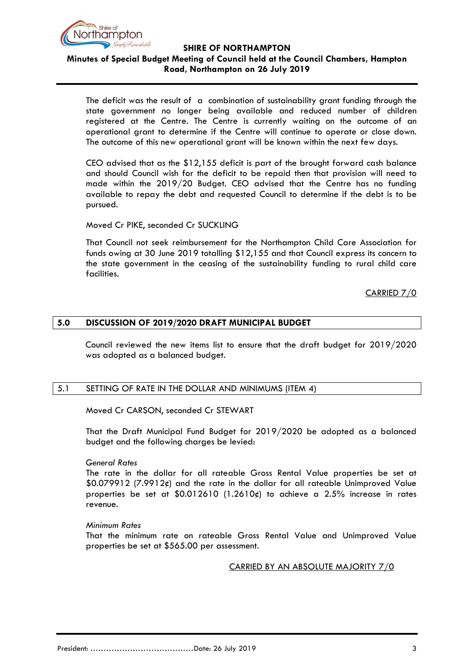

# **Minutes of Special Budget Meeting of Council held at the Council Chambers, Hampton Road, Northampton on 26 July 2019**

The deficit was the result of a combination of sustainability grant funding through the state government no longer being available and reduced number of children registered at the Centre. The Centre is currently waiting on the outcome of an operational grant to determine if the Centre will continue to operate or close down. The outcome of this new operational grant will be known within the next few days.

CEO advised that as the \$12,155 deficit is part of the brought forward cash balance and should Council wish for the deficit to be repaid then that provision will need to made within the 2019/20 Budget. CEO advised that the Centre has no funding available to repay the debt and requested Council to determine if the debt is to be pursued.

Moved Cr PIKE, seconded Cr SUCKLING

That Council not seek reimbursement for the Northampton Child Care Association for funds owing at 30 June 2019 totalling \$12,155 and that Council express its concern to the state government in the ceasing of the sustainability funding to rural child care facilities.

CARRIED 7/0

## <span id="page-2-0"></span>**5.0 DISCUSSION OF 2019/2020 DRAFT MUNICIPAL BUDGET**

Council reviewed the new items list to ensure that the draft budget for 2019/2020 was adopted as a balanced budget.

### <span id="page-2-1"></span>5.1 SETTING OF RATE IN THE DOLLAR AND MINIMUMS (ITEM 4)

Moved Cr CARSON, seconded Cr STEWART

That the Draft Municipal Fund Budget for 2019/2020 be adopted as a balanced budget and the following charges be levied:

### *General Rates*

The rate in the dollar for all rateable Gross Rental Value properties be set at \$0.079912 (7.9912¢) and the rate in the dollar for all rateable Unimproved Value properties be set at \$0.012610 (1.2610 $\phi$ ) to achieve a 2.5% increase in rates revenue.

#### *Minimum Rates*

That the minimum rate on rateable Gross Rental Value and Unimproved Value properties be set at \$565.00 per assessment.

### CARRIED BY AN ABSOLUTE MAJORITY 7/0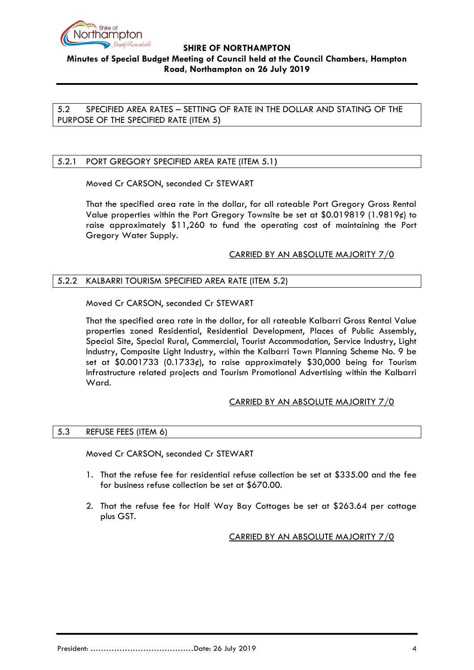

# **Minutes of Special Budget Meeting of Council held at the Council Chambers, Hampton Road, Northampton on 26 July 2019**

<span id="page-3-0"></span>5.2 SPECIFIED AREA RATES – SETTING OF RATE IN THE DOLLAR AND STATING OF THE PURPOSE OF THE SPECIFIED RATE (ITEM 5**)**

## <span id="page-3-1"></span>5.2.1 PORT GREGORY SPECIFIED AREA RATE (ITEM 5.1**)**

Moved Cr CARSON, seconded Cr STEWART

That the specified area rate in the dollar, for all rateable Port Gregory Gross Rental Value properties within the Port Gregory Townsite be set at \$0.019819 (1.9819¢) to raise approximately \$11,260 to fund the operating cost of maintaining the Port Gregory Water Supply.

## CARRIED BY AN ABSOLUTE MAJORITY 7/0

## <span id="page-3-2"></span>5.2.2 KALBARRI TOURISM SPECIFIED AREA RATE (ITEM 5.2)

Moved Cr CARSON, seconded Cr STEWART

That the specified area rate in the dollar, for all rateable Kalbarri Gross Rental Value properties zoned Residential, Residential Development, Places of Public Assembly, Special Site, Special Rural, Commercial, Tourist Accommodation, Service Industry, Light Industry, Composite Light Industry, within the Kalbarri Town Planning Scheme No. 9 be set at \$0.001733 (0.1733 $\not\in$ ), to raise approximately \$30,000 being for Tourism Infrastructure related projects and Tourism Promotional Advertising within the Kalbarri Ward.

### CARRIED BY AN ABSOLUTE MAJORITY 7/0

### <span id="page-3-3"></span>5.3 REFUSE FEES (ITEM 6)

Moved Cr CARSON, seconded Cr STEWART

- 1. That the refuse fee for residential refuse collection be set at \$335.00 and the fee for business refuse collection be set at \$670.00.
- 2. That the refuse fee for Half Way Bay Cottages be set at \$263.64 per cottage plus GST.

CARRIED BY AN ABSOLUTE MAJORITY 7/0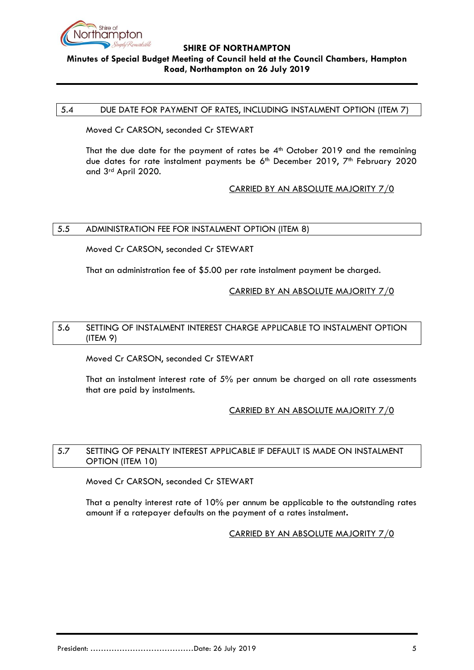

# **Minutes of Special Budget Meeting of Council held at the Council Chambers, Hampton Road, Northampton on 26 July 2019**

#### <span id="page-4-0"></span>5.4 DUE DATE FOR PAYMENT OF RATES, INCLUDING INSTALMENT OPTION (ITEM 7)

Moved Cr CARSON, seconded Cr STEWART

That the due date for the payment of rates be 4<sup>th</sup> October 2019 and the remaining due dates for rate instalment payments be 6<sup>th</sup> December 2019, 7<sup>th</sup> February 2020 and 3rd April 2020.

## CARRIED BY AN ABSOLUTE MAJORITY 7/0

#### <span id="page-4-1"></span>5.5 ADMINISTRATION FEE FOR INSTALMENT OPTION (ITEM 8)

Moved Cr CARSON, seconded Cr STEWART

That an administration fee of \$5.00 per rate instalment payment be charged.

## CARRIED BY AN ABSOLUTE MAJORITY 7/0

### <span id="page-4-2"></span>5.6 SETTING OF INSTALMENT INTEREST CHARGE APPLICABLE TO INSTALMENT OPTION (ITEM 9)

Moved Cr CARSON, seconded Cr STEWART

That an instalment interest rate of 5% per annum be charged on all rate assessments that are paid by instalments.

## CARRIED BY AN ABSOLUTE MAJORITY 7/0

### <span id="page-4-3"></span>5.7 SETTING OF PENALTY INTEREST APPLICABLE IF DEFAULT IS MADE ON INSTALMENT OPTION (ITEM 10)

Moved Cr CARSON, seconded Cr STEWART

That a penalty interest rate of 10% per annum be applicable to the outstanding rates amount if a ratepayer defaults on the payment of a rates instalment**.**

### CARRIED BY AN ABSOLUTE MAJORITY 7/0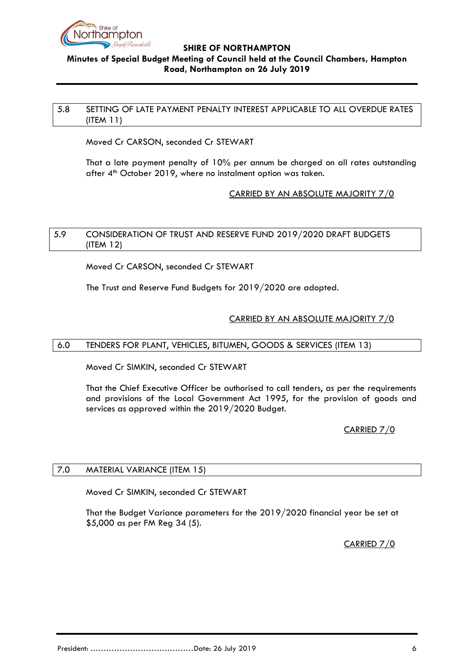

# **Minutes of Special Budget Meeting of Council held at the Council Chambers, Hampton Road, Northampton on 26 July 2019**

#### <span id="page-5-0"></span>5.8 SETTING OF LATE PAYMENT PENALTY INTEREST APPLICABLE TO ALL OVERDUE RATES (ITEM 11)

Moved Cr CARSON, seconded Cr STEWART

That a late payment penalty of 10% per annum be charged on all rates outstanding after 4<sup>th</sup> October 2019, where no instalment option was taken.

## CARRIED BY AN ABSOLUTE MAJORITY 7/0

### <span id="page-5-1"></span>5.9 CONSIDERATION OF TRUST AND RESERVE FUND 2019/2020 DRAFT BUDGETS (ITEM 12)

Moved Cr CARSON, seconded Cr STEWART

The Trust and Reserve Fund Budgets for 2019/2020 are adopted.

## CARRIED BY AN ABSOLUTE MAJORITY 7/0

### <span id="page-5-2"></span>6.0 TENDERS FOR PLANT, VEHICLES, BITUMEN, GOODS & SERVICES (ITEM 13)

Moved Cr SIMKIN, seconded Cr STEWART

That the Chief Executive Officer be authorised to call tenders, as per the requirements and provisions of the Local Government Act 1995, for the provision of goods and services as approved within the 2019/2020 Budget.

CARRIED 7/0

### <span id="page-5-3"></span>7.0 MATERIAL VARIANCE (ITEM 15)

Moved Cr SIMKIN, seconded Cr STEWART

That the Budget Variance parameters for the 2019/2020 financial year be set at \$5,000 as per FM Reg 34 (5).

CARRIED 7/0